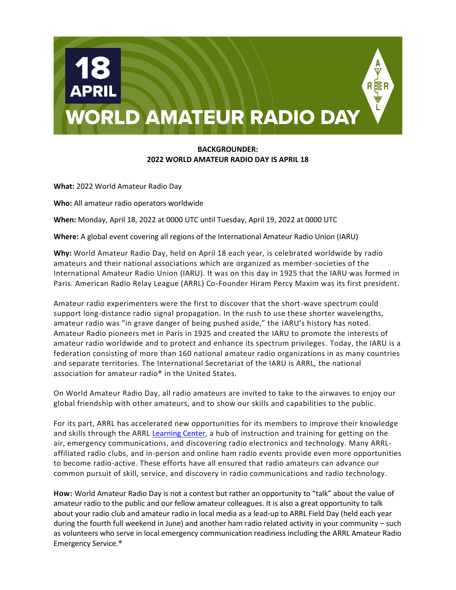

## **BACKGROUNDER: 2022 WORLD AMATEUR RADIO DAY IS APRIL 18**

**What:** 2022 World Amateur Radio Day

**Who:** All amateur radio operators worldwide

**When:** Monday, April 18, 2022 at 0000 UTC until Tuesday, April 19, 2022 at 0000 UTC

**Where:** A global event covering all regions of the International Amateur Radio Union (IARU)

**Why:** World Amateur Radio Day, held on April 18 each year, is celebrated worldwide by radio amateurs and their national associations which are organized as member-societies of the International Amateur Radio Union (IARU). It was on this day in 1925 that the IARU was formed in Paris. American Radio Relay League (ARRL) Co-Founder Hiram Percy Maxim was its first president.

Amateur radio experimenters were the first to discover that the short-wave spectrum could support long-distance radio signal propagation. In the rush to use these shorter wavelengths, amateur radio was "in grave danger of being pushed aside," the IARU's history has noted. Amateur Radio pioneers met in Paris in 1925 and created the IARU to promote the interests of amateur radio worldwide and to protect and enhance its spectrum privileges. Today, the IARU is a federation consisting of more than 160 national amateur radio organizations in as many countries and separate territories. The International Secretariat of the IARU is ARRL, the national association for amateur radio® in the United States.

On World Amateur Radio Day, all radio amateurs are invited to take to the airwaves to enjoy our global friendship with other amateurs, and to show our skills and capabilities to the public.

For its part, ARRL has accelerated new opportunities for its members to improve their knowledge and skills through the ARRL [Learning Center,](https://learn.arrl.org/) a hub of instruction and training for getting on the air, emergency communications, and discovering radio electronics and technology. Many ARRLaffiliated radio clubs, and in-person and online ham radio events provide even more opportunities to become radio-active. These efforts have all ensured that radio amateurs can advance our common pursuit of skill, service, and discovery in radio communications and radio technology.

**How:** World Amateur Radio Day is not a contest but rather an opportunity to "talk" about the value of amateur radio to the public and our fellow amateur colleagues. It is also a great opportunity to talk about your radio club and amateur radio in local media as a lead-up to ARRL Field Day (held each year during the fourth full weekend in June) and another ham radio related activity in your community – such as volunteers who serve in local emergency communication readiness including the ARRL Amateur Radio Emergency Service.®